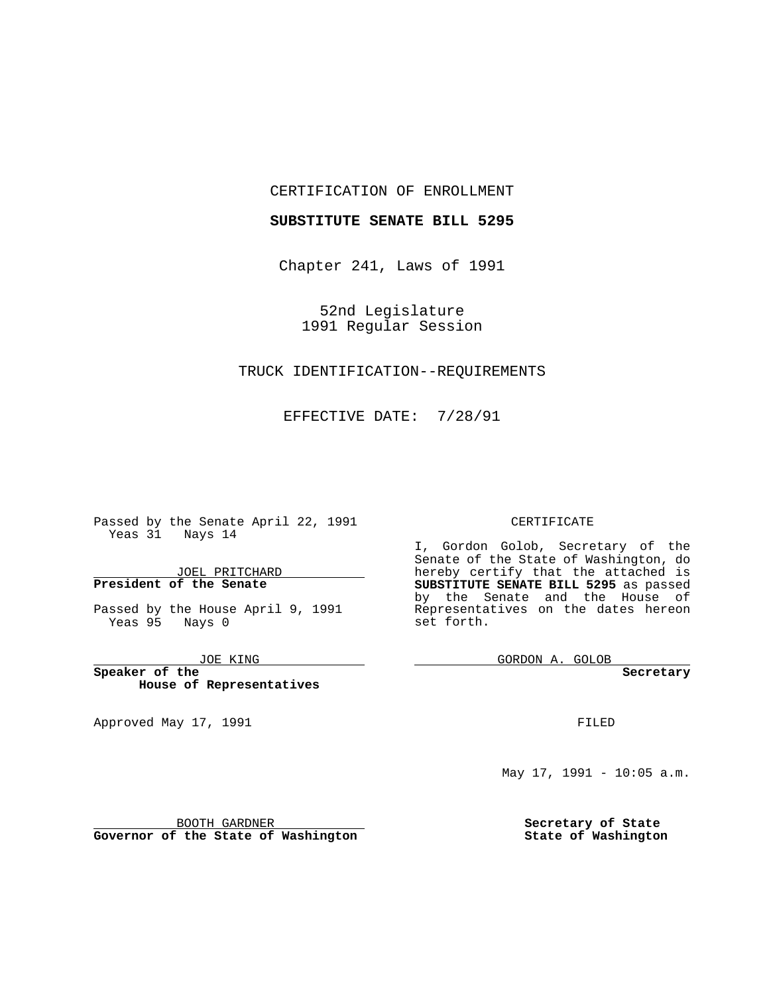#### CERTIFICATION OF ENROLLMENT

### **SUBSTITUTE SENATE BILL 5295**

Chapter 241, Laws of 1991

52nd Legislature 1991 Regular Session

## TRUCK IDENTIFICATION--REQUIREMENTS

EFFECTIVE DATE: 7/28/91

Passed by the Senate April 22, 1991 Yeas 31 Nays 14

JOEL PRITCHARD **President of the Senate**

Passed by the House April 9, 1991 Yeas 95 Nays 0

JOE KING

the control of the control of

**Speaker of the House of Representatives**

BOOTH GARDNER **Governor of the State of Washington**

Approved May 17, 1991

#### CERTIFICATE

I, Gordon Golob, Secretary of the Senate of the State of Washington, do hereby certify that the attached is **SUBSTITUTE SENATE BILL 5295** as passed by the Senate and the House of Representatives on the dates hereon set forth.

GORDON A. GOLOB

**Secretary**

FILED

May 17, 1991 - 10:05 a.m.

**Secretary of State State of Washington**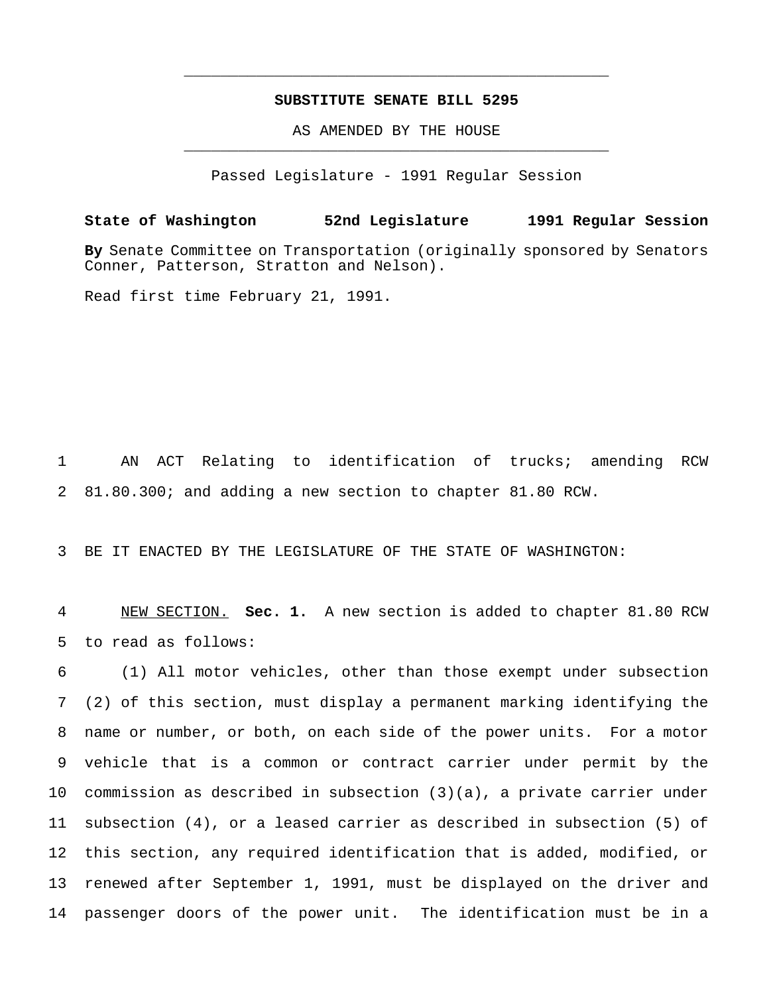## **SUBSTITUTE SENATE BILL 5295**

\_\_\_\_\_\_\_\_\_\_\_\_\_\_\_\_\_\_\_\_\_\_\_\_\_\_\_\_\_\_\_\_\_\_\_\_\_\_\_\_\_\_\_\_\_\_\_

AS AMENDED BY THE HOUSE \_\_\_\_\_\_\_\_\_\_\_\_\_\_\_\_\_\_\_\_\_\_\_\_\_\_\_\_\_\_\_\_\_\_\_\_\_\_\_\_\_\_\_\_\_\_\_

Passed Legislature - 1991 Regular Session

**State of Washington 52nd Legislature 1991 Regular Session**

**By** Senate Committee on Transportation (originally sponsored by Senators Conner, Patterson, Stratton and Nelson).

Read first time February 21, 1991.

 AN ACT Relating to identification of trucks; amending RCW 81.80.300; and adding a new section to chapter 81.80 RCW.

BE IT ENACTED BY THE LEGISLATURE OF THE STATE OF WASHINGTON:

 NEW SECTION. **Sec. 1.** A new section is added to chapter 81.80 RCW to read as follows:

 (1) All motor vehicles, other than those exempt under subsection (2) of this section, must display a permanent marking identifying the name or number, or both, on each side of the power units. For a motor vehicle that is a common or contract carrier under permit by the commission as described in subsection (3)(a), a private carrier under subsection (4), or a leased carrier as described in subsection (5) of this section, any required identification that is added, modified, or renewed after September 1, 1991, must be displayed on the driver and passenger doors of the power unit. The identification must be in a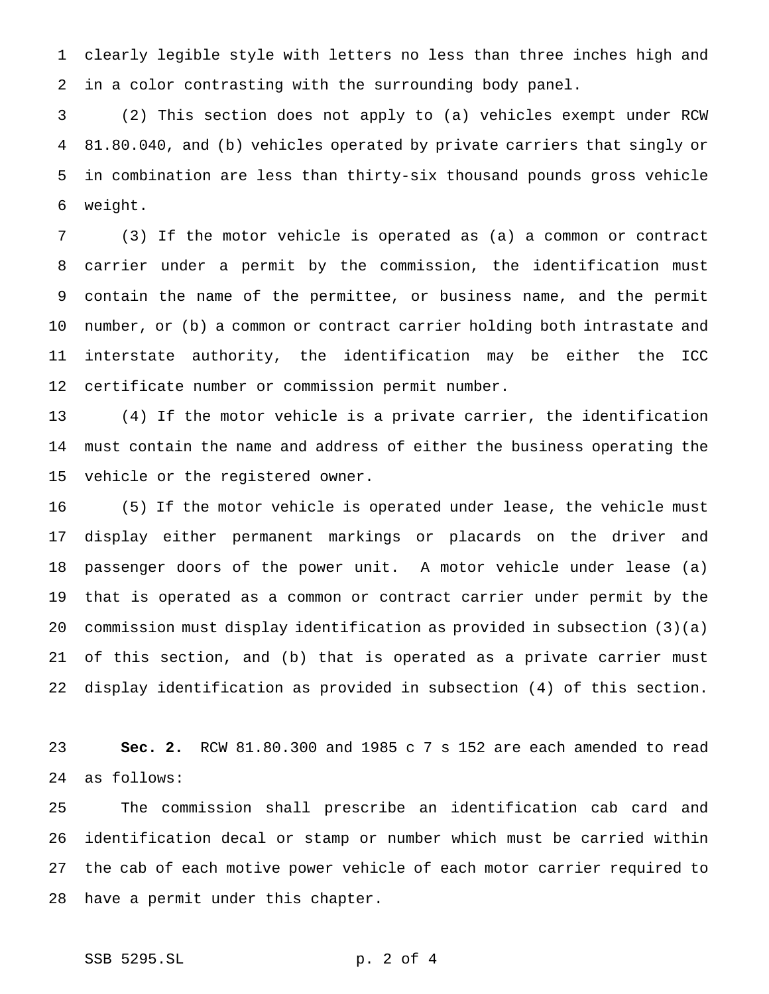clearly legible style with letters no less than three inches high and in a color contrasting with the surrounding body panel.

 (2) This section does not apply to (a) vehicles exempt under RCW 81.80.040, and (b) vehicles operated by private carriers that singly or in combination are less than thirty-six thousand pounds gross vehicle weight.

 (3) If the motor vehicle is operated as (a) a common or contract carrier under a permit by the commission, the identification must contain the name of the permittee, or business name, and the permit number, or (b) a common or contract carrier holding both intrastate and interstate authority, the identification may be either the ICC certificate number or commission permit number.

 (4) If the motor vehicle is a private carrier, the identification must contain the name and address of either the business operating the vehicle or the registered owner.

 (5) If the motor vehicle is operated under lease, the vehicle must display either permanent markings or placards on the driver and passenger doors of the power unit. A motor vehicle under lease (a) that is operated as a common or contract carrier under permit by the commission must display identification as provided in subsection (3)(a) of this section, and (b) that is operated as a private carrier must display identification as provided in subsection (4) of this section.

 **Sec. 2.** RCW 81.80.300 and 1985 c 7 s 152 are each amended to read as follows:

 The commission shall prescribe an identification cab card and identification decal or stamp or number which must be carried within the cab of each motive power vehicle of each motor carrier required to have a permit under this chapter.

# SSB 5295.SL p. 2 of 4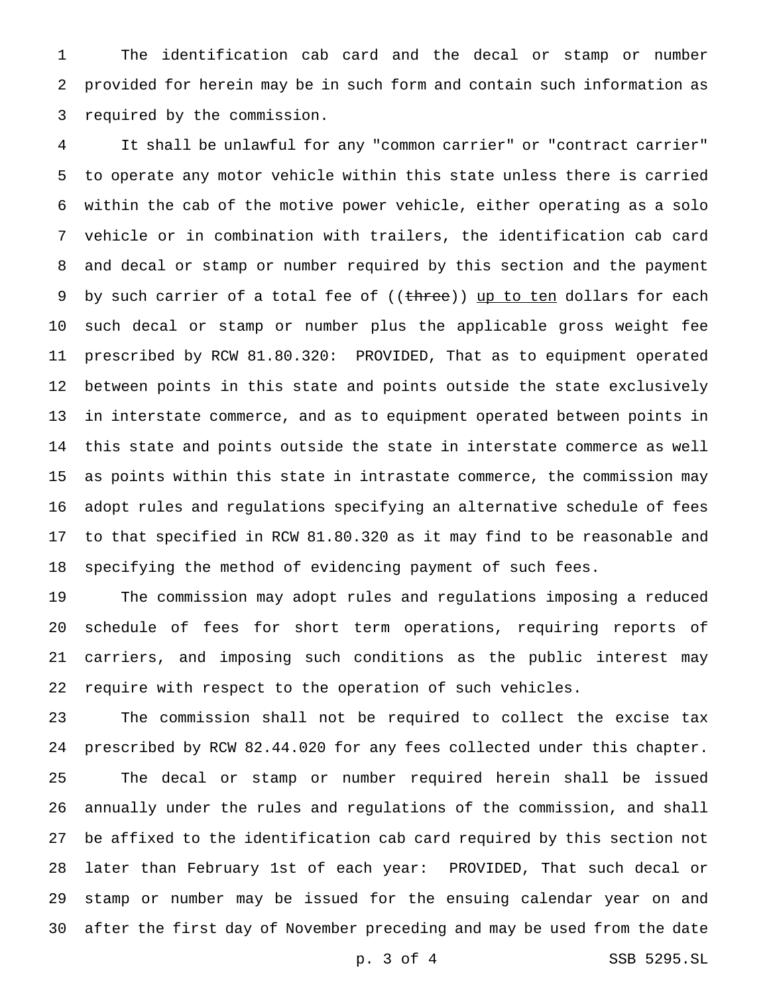The identification cab card and the decal or stamp or number provided for herein may be in such form and contain such information as required by the commission.

 It shall be unlawful for any "common carrier" or "contract carrier" to operate any motor vehicle within this state unless there is carried within the cab of the motive power vehicle, either operating as a solo vehicle or in combination with trailers, the identification cab card and decal or stamp or number required by this section and the payment 9 by such carrier of a total fee of ((three)) up to ten dollars for each such decal or stamp or number plus the applicable gross weight fee prescribed by RCW 81.80.320: PROVIDED, That as to equipment operated between points in this state and points outside the state exclusively in interstate commerce, and as to equipment operated between points in this state and points outside the state in interstate commerce as well as points within this state in intrastate commerce, the commission may adopt rules and regulations specifying an alternative schedule of fees to that specified in RCW 81.80.320 as it may find to be reasonable and specifying the method of evidencing payment of such fees.

 The commission may adopt rules and regulations imposing a reduced schedule of fees for short term operations, requiring reports of carriers, and imposing such conditions as the public interest may require with respect to the operation of such vehicles.

 The commission shall not be required to collect the excise tax prescribed by RCW 82.44.020 for any fees collected under this chapter. The decal or stamp or number required herein shall be issued annually under the rules and regulations of the commission, and shall be affixed to the identification cab card required by this section not later than February 1st of each year: PROVIDED, That such decal or stamp or number may be issued for the ensuing calendar year on and after the first day of November preceding and may be used from the date